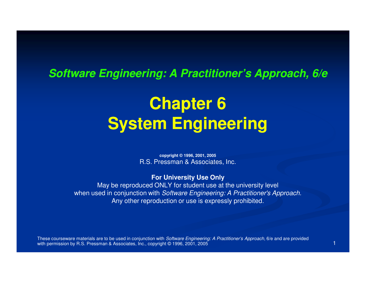#### **Software Engineering: A Practitioner's Approach, 6/e**

# **Chapter 6System Engineering**

**copyright © 1996, 2001, 2005**R.S. Pressman & Associates, Inc.

**For University Use Only**

 May be reproduced ONLY for student use at the university levelwhen used in conjunction with Software Engineering: A Practitioner's Approach. Any other reproduction or use is expressly prohibited.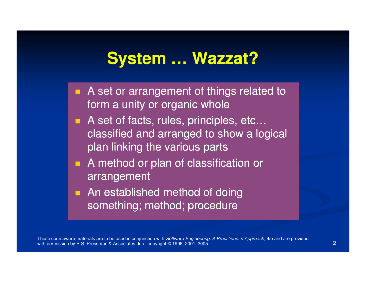#### **System … Wazzat?**

- **A** set or arrangement of things related to form a unity or organic whole
- A set of facts, rules, principles, etc... classified and arranged to show a logical plan linking the various parts
- **A** method or plan of classification or arrangement
- An established method of doing something; method; procedure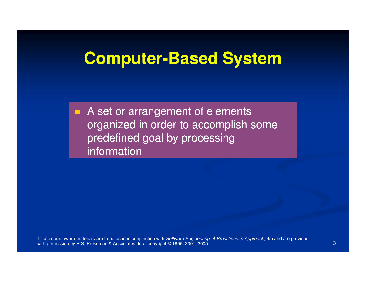# **Computer Computer-Based System Based**

A set or arrangement of elements organized in order to accomplish some predefined goal by processing information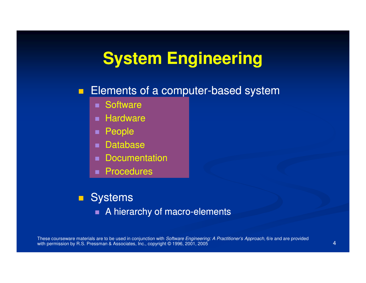### **System Engineering**

# **Elements of a computer-based system Elements of a computer-based system**

- Software
- Hardware
- П People
- Databaseп
- п **Documentation**
- **Procedures**

#### ■ Systems

 $\blacksquare$  A hierarchy of macro-elements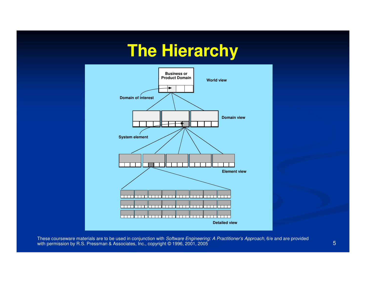# **The Hierarchy**



These courseware materials are to be used in conjunction with *Software Engineering: A Practitioner's Approach,* 6/e and are provided with permission by R.S. Pressman & Associates, Inc., copyright © 1996, 2001, 2005  $\sim$  5 Section 1998, 2001, 2005  $\sim$  5 Section 1998, 2001, 2009  $\sim$  5 Section 1998, 2001, 2009  $\sim$  5 Section 1998, 2001, 2005  $\sim$  5 Secti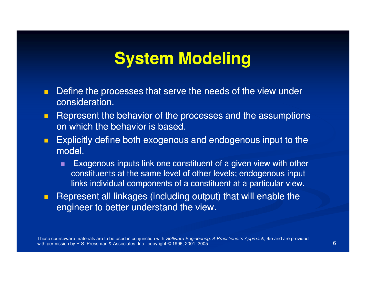### **System Modeling**

- $\blacksquare$  Define the processes that serve the needs of the view under consideration.
- $\blacksquare$  Represent the behavior of the processes and the assumptions on which the behavior is based.
- $\blacksquare$  Explicitly define both exogenous and endogenous input to the model.
	- п Exogenous inputs link one constituent of a given view with other constituents at the same level of other levels; endogenous input links individual components of a constituent at a particular view.
- $\blacksquare$  Represent all linkages (including output) that will enable the engineer to better understand the view.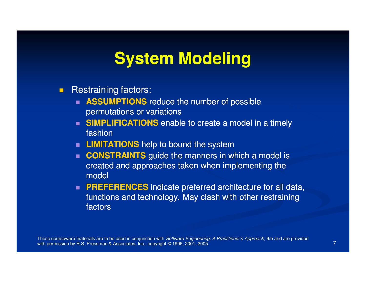#### **System Modeling**

- $\blacksquare$  Restraining factors:
	- **ASSUMPTIONS** reduce the number of possible permutations or variations
	- **SIMPLIFICATIONS** enable to create a model in a timely fashion
	- **LIMITATIONS** help to bound the systemп
	- **CONSTRAINTS** guide the manners in which a model is ш created and approaches taken when implementing the model
	- **PREFERENCES** indicate preferred architecture for all data, functions and technology. May clash with other restraining factors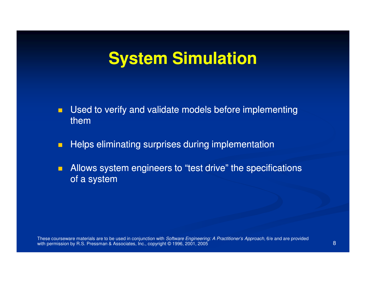#### **System Simulation**

- $\blacksquare$  Used to verify and validate models before implementing them
- Helps eliminating surprises during implementation $\blacksquare$
- $\blacksquare$ Allows system engineers to "test drive" the specifications of a system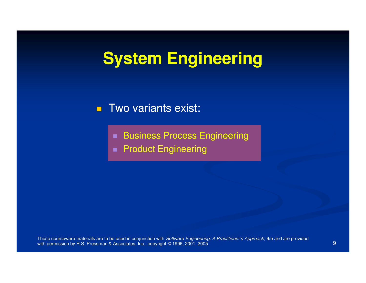# **System Engineering**

#### $\blacksquare$ Two variants exist:

- Business Process Engineering
- **Product Engineering**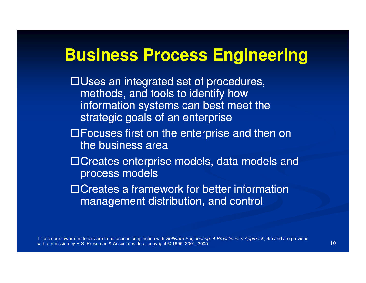#### **Business Process Engineering**

 $\Box$ Uses an integrated set of procedures, methods, and tools to identify how information systems can best meet the strategic goals of an enterprise

- $\Box$  Focuses first on the enterprise and then on the business area
- □Creates enterprise models, data models and process models
- $\Box$  Creates a framework for better information management distribution, and control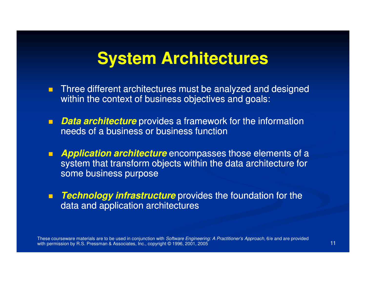#### **System Architectures**

- П Three different architectures must be analyzed and designed within the context of business objectives and goals:
- П **Data architecture** provides a framework for the information needs of a business or business function
- П **Application architecture** encompasses those elements of a system that transform objects within the data architecture for some business purpose
- $\blacksquare$ **Technology infrastructure** provides the foundation for the data and application architectures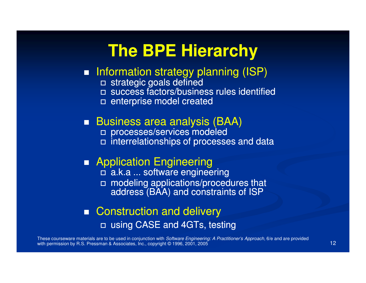#### **The BPE Hierarchy**

#### ■ Information strategy planning (ISP)

- □ strategic goals defined<br>□ suesses factors/busing
- □ success factors/business rules identified
- □ enterprise model created

#### ■ Business area analysis (BAA)

- □ processes/services modeled<br>□ interrelationabine of presesse
- interrelationships of processes and data

#### **Application Engineering**

- □ a.k.a ... software engineering
- □ modeling applications/procedures that address (BAA) and constraints of ISP

#### ■ Construction and delivery □ using CASE and 4GTs, testing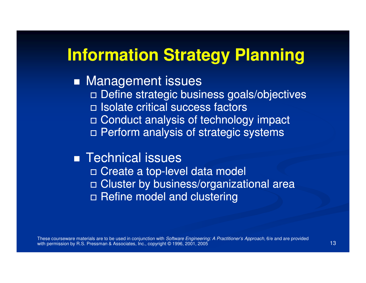#### **Information Strategy Planning**

#### ■ Management issues

- Define strategic business goals/objectives
- Isolate critical success factors
- □ Conduct analysis of technology impact
- Perform analysis of strategic systems

#### ■ Technical issues

- □ Create a top-level data model
- □ Cluster by business/organizational area
- □ Refine model and clustering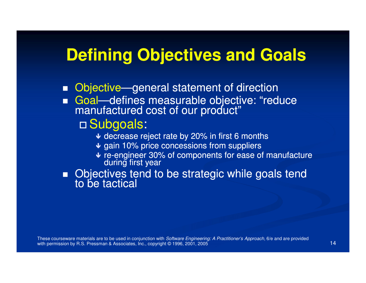#### **Defining Objectives and Goals**

- Objective—general statement of direction
- Goal—defines measurable objective: "reduce<br>manufactured cost of our product"

### □ Subgoals:<br>at decrease re

- ↓ decrease reject rate by 20% in first 6 months
- $\blacklozenge$  gain 10% price concessions from suppliers
- ↓ re-engineer 30% of components for ease of manufacture during first year

■ Objectives tend to be strategic while goals tend to be tactical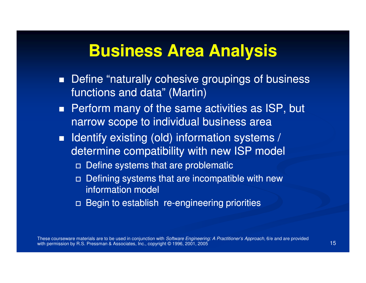#### **Business Area Analysis**

- **Define "naturally cohesive groupings of business** functions and data" (Martin)
- **Perform many of the same activities as ISP, but** narrow scope to individual business area
- $\blacksquare$  Identify existing (old) information systems / determine compatibility with new ISP model
	- Define systems that are problematic
	- Defining systems that are incompatible with new information model
	- □ Begin to establish re-engineering priorities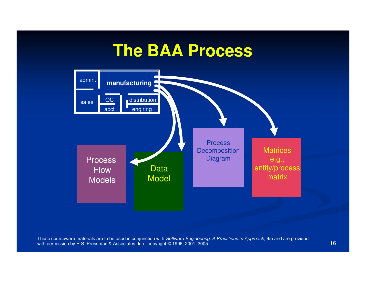#### **The BAA Process**

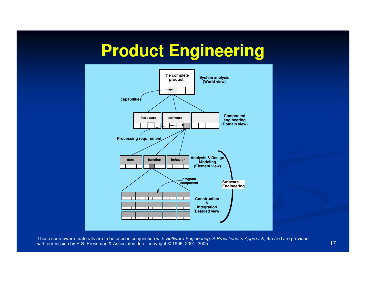### **Product Engineering**

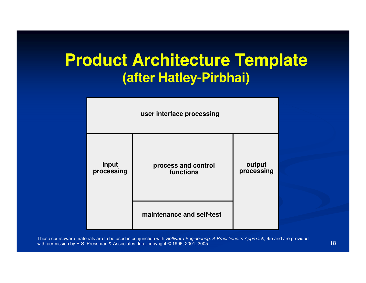# **Product Architecture Template(after Hatley Hatley-Pirbhai) Pirbhai)**

| user interface processing |                                  |                      |
|---------------------------|----------------------------------|----------------------|
| input<br>processing       | process and control<br>functions | output<br>processing |
|                           | maintenance and self-test        |                      |

These courseware materials are to be used in conjunction with *Software Engineering: A Practitioner's Approach,* 6/e and are provided with permission by R.S. Pressman & Associates, Inc., copyright © 1996, 2001, 2005  $5$  (18)  $\frac{1}{2}$  (18)  $\frac{1}{2}$  (18)  $\frac{1}{2}$  (18)  $\frac{1}{2}$  (18)  $\frac{1}{2}$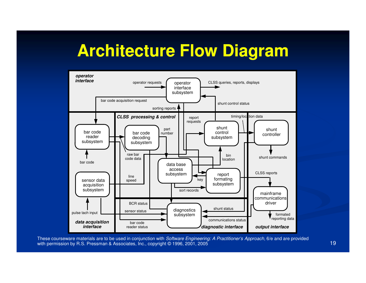# **Architecture Flow Diagram**

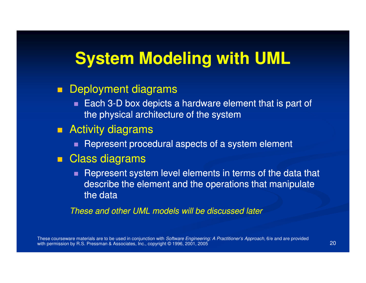#### **System Modeling with UML**

#### $\blacksquare$ Deployment diagrams

Each 3-D box depicts a hardware element that is part of the physical architecture of the system

#### ■ Activity diagrams

 $\blacksquare$  Represent procedural aspects of a system element

#### ■ Class diagrams

**Represent system level elements in terms of the data that** describe the element and the operations that manipulate the data

These and other UML models will be discussed later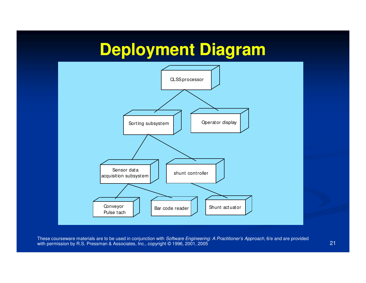# **Deployment Diagram**

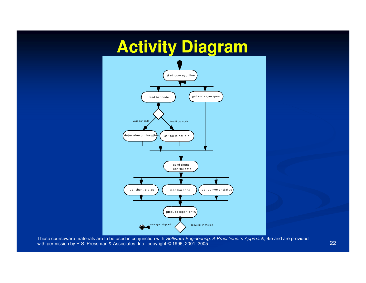# **Activity Diagram**